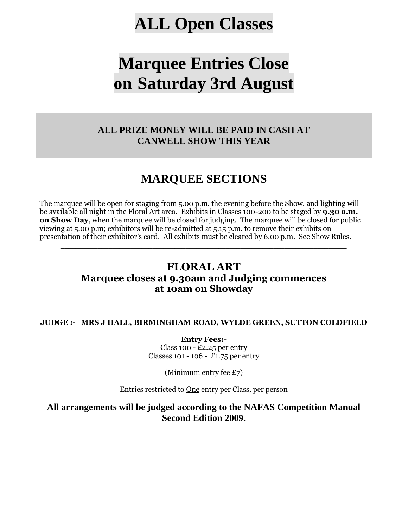# **ALL Open Classes**

# **Marquee Entries Close on Saturday 3rd August**

## **ALL PRIZE MONEY WILL BE PAID IN CASH AT CANWELL SHOW THIS YEAR**

# **MARQUEE SECTIONS**

The marquee will be open for staging from 5.00 p.m. the evening before the Show, and lighting will be available all night in the Floral Art area. Exhibits in Classes 100-200 to be staged by **9.30 a.m. on Show Day**, when the marquee will be closed for judging. The marquee will be closed for public viewing at 5.00 p.m; exhibitors will be re-admitted at 5.15 p.m. to remove their exhibits on presentation of their exhibitor's card. All exhibits must be cleared by 6.00 p.m. See Show Rules.

# **FLORAL ART Marquee closes at 9.30am and Judging commences at 10am on Showday**

**\_\_\_\_\_\_\_\_\_\_\_\_\_\_\_\_\_\_\_\_\_\_\_\_\_\_\_\_\_\_\_\_\_\_\_\_\_\_\_\_\_\_\_\_\_\_\_\_\_\_\_\_\_\_\_\_\_\_\_\_\_\_\_\_\_\_\_\_\_\_\_\_\_\_\_\_\_\_** 

#### **JUDGE :- MRS J HALL, BIRMINGHAM ROAD, WYLDE GREEN, SUTTON COLDFIELD**

**Entry Fees:-** Class 100 -  $£2.25$  per entry Classes 101 - 106 - £1.75 per entry

(Minimum entry fee £7)

Entries restricted to One entry per Class, per person

**All arrangements will be judged according to the NAFAS Competition Manual Second Edition 2009.**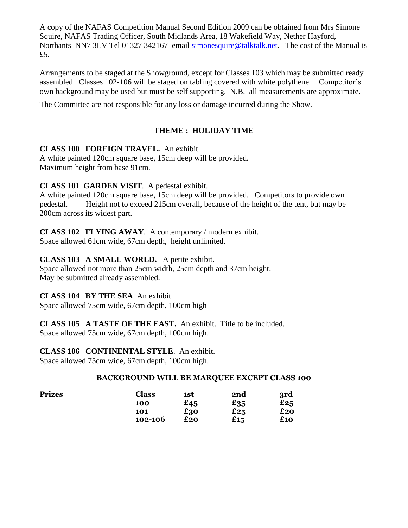A copy of the NAFAS Competition Manual Second Edition 2009 can be obtained from Mrs Simone Squire, NAFAS Trading Officer, South Midlands Area, 18 Wakefield Way, Nether Hayford, Northants NN7 3LV Tel 01327 342167 email [simonesquire@talktalk.net.](mailto:simonesquire@talktalk.net) The cost of the Manual is £5.

Arrangements to be staged at the Showground, except for Classes 103 which may be submitted ready assembled. Classes 102-106 will be staged on tabling covered with white polythene. Competitor's own background may be used but must be self supporting. N.B. all measurements are approximate.

The Committee are not responsible for any loss or damage incurred during the Show.

## **THEME : HOLIDAY TIME**

## **CLASS 100 FOREIGN TRAVEL.** An exhibit.

A white painted 120cm square base, 15cm deep will be provided. Maximum height from base 91cm.

**CLASS 101 GARDEN VISIT**. A pedestal exhibit.

A white painted 120cm square base, 15cm deep will be provided. Competitors to provide own pedestal. Height not to exceed 215cm overall, because of the height of the tent, but may be 200cm across its widest part.

**CLASS 102 FLYING AWAY**. A contemporary / modern exhibit. Space allowed 61cm wide, 67cm depth, height unlimited.

## **CLASS 103 A SMALL WORLD.** A petite exhibit.

Space allowed not more than 25cm width, 25cm depth and 37cm height. May be submitted already assembled.

## **CLASS 104 BY THE SEA** An exhibit.

Space allowed 75cm wide, 67cm depth, 100cm high

**CLASS 105 A TASTE OF THE EAST.** An exhibit. Title to be included. Space allowed 75cm wide, 67cm depth, 100cm high.

**CLASS 106 CONTINENTAL STYLE**. An exhibit.

Space allowed 75cm wide, 67cm depth, 100cm high.

## **BACKGROUND WILL BE MARQUEE EXCEPT CLASS 100**

| Prizes | <b>Class</b> | <u> 1st</u> | <u>2nd</u> | 3rd |
|--------|--------------|-------------|------------|-----|
|        | <b>100</b>   | £45         | $E_{35}$   | £25 |
|        | 101          | £30         | £25        | £20 |
|        | 102-106      | £20         | £15        | £10 |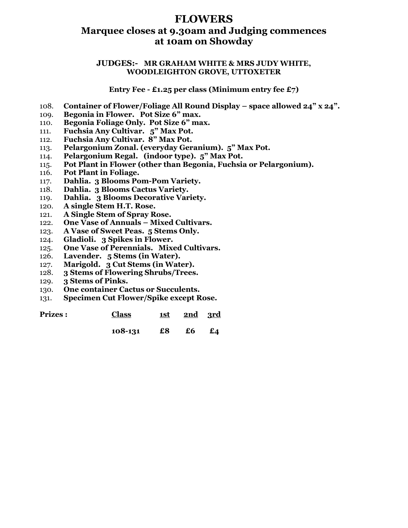# **FLOWERS**

## **Marquee closes at 9.30am and Judging commences at 10am on Showday**

#### **JUDGES:- MR GRAHAM WHITE & MRS JUDY WHITE, WOODLEIGHTON GROVE, UTTOXETER**

**Entry Fee - £1.25 per class (Minimum entry fee £7)**

- 108. **Container of Flower/Foliage All Round Display – space allowed 24" x 24".**
- 109. **Begonia in Flower. Pot Size 6" max.**
- 110. **Begonia Foliage Only. Pot Size 6" max.**
- 111. **Fuchsia Any Cultivar. 5" Max Pot.**
- 112. **Fuchsia Any Cultivar. 8" Max Pot.**
- 113. **Pelargonium Zonal. (everyday Geranium). 5" Max Pot.**
- 114. **Pelargonium Regal. (indoor type). 5" Max Pot.**
- 115. **Pot Plant in Flower (other than Begonia, Fuchsia or Pelargonium).**
- 116. **Pot Plant in Foliage.**
- 117. **Dahlia. 3 Blooms Pom-Pom Variety.**
- 118. **Dahlia. 3 Blooms Cactus Variety.**
- 119. **Dahlia. 3 Blooms Decorative Variety.**
- 120. **A single Stem H.T. Rose.**
- 121. **A Single Stem of Spray Rose.**
- 122. **One Vase of Annuals – Mixed Cultivars.**
- 123. **A Vase of Sweet Peas. 5 Stems Only.**
- 124. **Gladioli. 3 Spikes in Flower.**
- 125. **One Vase of Perennials. Mixed Cultivars.**
- 126. **Lavender. 5 Stems (in Water).**
- 127. **Marigold. 3 Cut Stems (in Water).**
- 128. **3 Stems of Flowering Shrubs/Trees.**
- 129. **3 Stems of Pinks.**
- 130. **One container Cactus or Succulents.**
- 131. **Specimen Cut Flower/Spike except Rose.**

**Prizes : Class 1st 2nd 3rd**

**108-131 £8 £6 £4**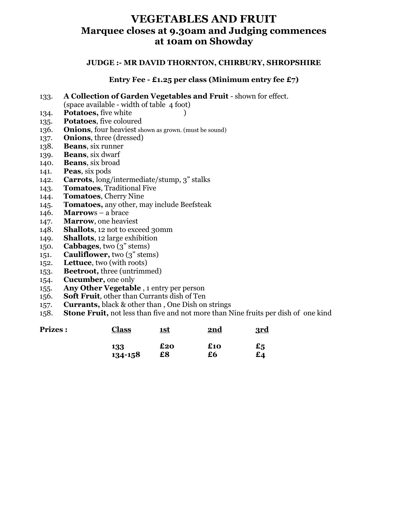# **VEGETABLES AND FRUIT Marquee closes at 9.30am and Judging commences at 10am on Showday**

#### **JUDGE :- MR DAVID THORNTON, CHIRBURY, SHROPSHIRE**

#### **Entry Fee - £1.25 per class (Minimum entry fee £7)**

- 133. **A Collection of Garden Vegetables and Fruit** shown for effect.
	- (space available width of table 4 foot)
- 134. **Potatoes,** five white )
- 135. **Potatoes**, five coloured
- 136. **Onions**, four heaviest shown as grown. (must be sound)
- 137. **Onions**, three (dressed)
- 138. **Beans**, six runner
- 139. **Beans**, six dwarf
- 140. **Beans**, six broad
- 141. **Peas**, six pods
- 142. **Carrots**, long/intermediate/stump, 3" stalks
- 143. **Tomatoes**, Traditional Five
- 144. **Tomatoes**, Cherry Nine
- 145. **Tomatoes,** any other, may include Beefsteak
- 146. **Marrow**s a brace
- 147. **Marrow**, one heaviest
- 148. **Shallots**, 12 not to exceed 30mm
- 149. **Shallots**, 12 large exhibition
- 150. **Cabbages**, two (3" stems)
- 151. **Cauliflower,** two (3" stems)
- 152. **Lettuce**, two (with roots)
- 153. **Beetroot,** three (untrimmed)
- 154. **Cucumber,** one only
- 155. **Any Other Vegetable** , 1 entry per person
- 156. **Soft Fruit**, other than Currants dish of Ten
- 157. **Currants,** black & other than , One Dish on strings
- 158. **Stone Fruit,** not less than five and not more than Nine fruits per dish of one kind

| <b>Prizes:</b> | <b>Class</b>   | <u> 1st</u> | 2nd       | 3rd |
|----------------|----------------|-------------|-----------|-----|
|                | 133<br>134-158 | £20<br>£8   | £10<br>£6 | £5  |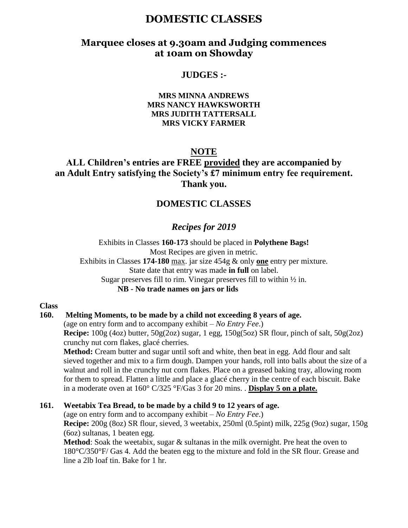# **DOMESTIC CLASSES**

## **Marquee closes at 9.30am and Judging commences at 10am on Showday**

## **JUDGES :-**

#### **MRS MINNA ANDREWS MRS NANCY HAWKSWORTH MRS JUDITH TATTERSALL MRS VICKY FARMER**

#### **NOTE**

**ALL Children's entries are FREE provided they are accompanied by an Adult Entry satisfying the Society's £7 minimum entry fee requirement. Thank you.**

## **DOMESTIC CLASSES**

## *Recipes for 2019*

Exhibits in Classes **160-173** should be placed in **Polythene Bags!** Most Recipes are given in metric. Exhibits in Classes **174-180** max. jar size 454g & only **one** entry per mixture. State date that entry was made **in full** on label. Sugar preserves fill to rim. Vinegar preserves fill to within ½ in. **NB - No trade names on jars or lids**

**Class** 

#### **160. Melting Moments, to be made by a child not exceeding 8 years of age.**

(age on entry form and to accompany exhibit – *No Entry Fee*.)

**Recipe:** 100g (4oz) butter, 50g(2oz) sugar, 1 egg, 150g(5oz) SR flour, pinch of salt, 50g(2oz) crunchy nut corn flakes, glacé cherries.

**Method:** Cream butter and sugar until soft and white, then beat in egg. Add flour and salt sieved together and mix to a firm dough. Dampen your hands, roll into balls about the size of a walnut and roll in the crunchy nut corn flakes. Place on a greased baking tray, allowing room for them to spread. Flatten a little and place a glacé cherry in the centre of each biscuit. Bake in a moderate oven at 160° C/325 °F/Gas 3 for 20 mins. . **Display 5 on a plate.**

#### **161. Weetabix Tea Bread, to be made by a child 9 to 12 years of age.**

(age on entry form and to accompany exhibit – *No Entry Fee*.) **Recipe:** 200g (8oz) SR flour, sieved, 3 weetabix, 250ml (0.5pint) milk, 225g (9oz) sugar, 150g (6oz) sultanas, 1 beaten egg.

**Method**: Soak the weetabix, sugar & sultanas in the milk overnight. Pre heat the oven to 180°C/350°F/ Gas 4. Add the beaten egg to the mixture and fold in the SR flour. Grease and line a 2lb loaf tin. Bake for 1 hr.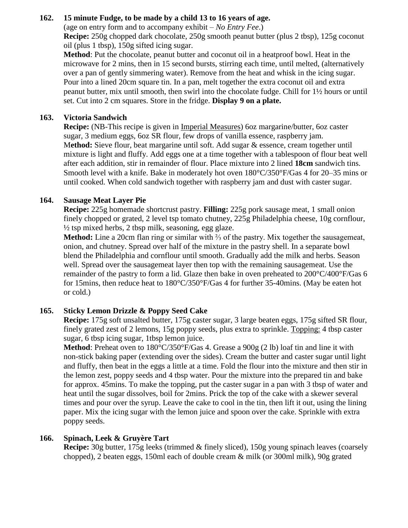## **162. 15 minute Fudge, to be made by a child 13 to 16 years of age.**

(age on entry form and to accompany exhibit – *No Entry Fee*.) **Recipe:** 250g chopped dark chocolate, 250g smooth peanut butter (plus 2 tbsp), 125g coconut oil (plus 1 tbsp), 150g sifted icing sugar.

**Method**: Put the chocolate, peanut butter and coconut oil in a heatproof bowl. Heat in the microwave for 2 mins, then in 15 second bursts, stirring each time, until melted, (alternatively over a pan of gently simmering water). Remove from the heat and whisk in the icing sugar. Pour into a lined 20cm square tin. In a pan, melt together the extra coconut oil and extra peanut butter, mix until smooth, then swirl into the chocolate fudge. Chill for 1½ hours or until set. Cut into 2 cm squares. Store in the fridge. **Display 9 on a plate.**

## **163. Victoria Sandwich**

**Recipe:** (NB-This recipe is given in Imperial Measures) 6oz margarine/butter, 6oz caster sugar, 3 medium eggs, 6oz SR flour, few drops of vanilla essence, raspberry jam. M**ethod:** Sieve flour, beat margarine until soft. Add sugar & essence, cream together until mixture is light and fluffy. Add eggs one at a time together with a tablespoon of flour beat well after each addition, stir in remainder of flour. Place mixture into 2 lined **18cm** sandwich tins. Smooth level with a knife. Bake in moderately hot oven 180°C/350°F/Gas 4 for 20–35 mins or until cooked. When cold sandwich together with raspberry jam and dust with caster sugar.

## **164. Sausage Meat Layer Pie**

**Recipe:** 225g homemade shortcrust pastry. **Filling:** 225g pork sausage meat, 1 small onion finely chopped or grated, 2 level tsp tomato chutney, 225g Philadelphia cheese, 10g cornflour,  $\frac{1}{2}$  tsp mixed herbs, 2 tbsp milk, seasoning, egg glaze.

**Method:** Line a 20cm flan ring or similar with ⅔ of the pastry. Mix together the sausagemeat, onion, and chutney. Spread over half of the mixture in the pastry shell. In a separate bowl blend the Philadelphia and cornflour until smooth. Gradually add the milk and herbs. Season well. Spread over the sausagemeat layer then top with the remaining sausagemeat. Use the remainder of the pastry to form a lid. Glaze then bake in oven preheated to 200°C/400°F/Gas 6 for 15mins, then reduce heat to 180°C/350°F/Gas 4 for further 35-40mins. (May be eaten hot or cold.)

## **165. Sticky Lemon Drizzle & Poppy Seed Cake**

**Recipe:** 175g soft unsalted butter, 175g caster sugar, 3 large beaten eggs, 175g sifted SR flour, finely grated zest of 2 lemons, 15g poppy seeds, plus extra to sprinkle. Topping: 4 tbsp caster sugar, 6 tbsp icing sugar, 1tbsp lemon juice.

**Method**: Preheat oven to 180°C/350°F/Gas 4. Grease a 900g (2 lb) loaf tin and line it with non-stick baking paper (extending over the sides). Cream the butter and caster sugar until light and fluffy, then beat in the eggs a little at a time. Fold the flour into the mixture and then stir in the lemon zest, poppy seeds and 4 tbsp water. Pour the mixture into the prepared tin and bake for approx. 45mins. To make the topping, put the caster sugar in a pan with 3 tbsp of water and heat until the sugar dissolves, boil for 2mins. Prick the top of the cake with a skewer several times and pour over the syrup. Leave the cake to cool in the tin, then lift it out, using the lining paper. Mix the icing sugar with the lemon juice and spoon over the cake. Sprinkle with extra poppy seeds.

## **166. Spinach, Leek & Gruyère Tart**

**Recipe:** 30g butter, 175g leeks (trimmed & finely sliced), 150g young spinach leaves (coarsely chopped), 2 beaten eggs, 150ml each of double cream & milk (or 300ml milk), 90g grated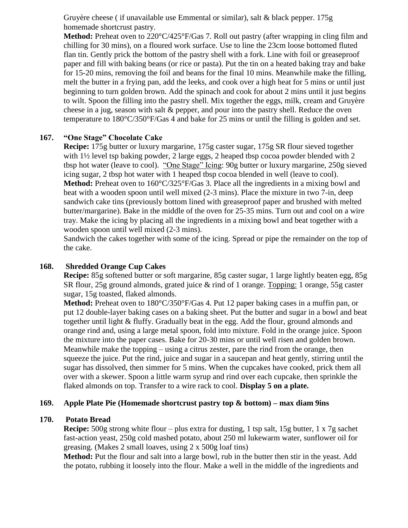Gruyère cheese ( if unavailable use Emmental or similar), salt & black pepper. 175g homemade shortcrust pastry.

**Method:** Preheat oven to 220°C/425°F/Gas 7. Roll out pastry (after wrapping in cling film and chilling for 30 mins), on a floured work surface. Use to line the 23cm loose bottomed fluted flan tin. Gently prick the bottom of the pastry shell with a fork. Line with foil or greaseproof paper and fill with baking beans (or rice or pasta). Put the tin on a heated baking tray and bake for 15-20 mins, removing the foil and beans for the final 10 mins. Meanwhile make the filling, melt the butter in a frying pan, add the leeks, and cook over a high heat for 5 mins or until just beginning to turn golden brown. Add the spinach and cook for about 2 mins until it just begins to wilt. Spoon the filling into the pastry shell. Mix together the eggs, milk, cream and Gruyère cheese in a jug, season with salt & pepper, and pour into the pastry shell. Reduce the oven temperature to 180°C/350°F/Gas 4 and bake for 25 mins or until the filling is golden and set.

#### **167. "One Stage" Chocolate Cake**

**Recipe:** 175g butter or luxury margarine, 175g caster sugar, 175g SR flour sieved together with  $1\frac{1}{2}$  level tsp baking powder, 2 large eggs, 2 heaped tbsp cocoa powder blended with 2 tbsp hot water (leave to cool). "One Stage" Icing: 90g butter or luxury margarine, 250g sieved icing sugar, 2 tbsp hot water with 1 heaped tbsp cocoa blended in well (leave to cool). **Method:** Preheat oven to 160°C/325°F/Gas 3. Place all the ingredients in a mixing bowl and beat with a wooden spoon until well mixed (2-3 mins). Place the mixture in two 7-in, deep sandwich cake tins (previously bottom lined with greaseproof paper and brushed with melted butter/margarine). Bake in the middle of the oven for 25-35 mins. Turn out and cool on a wire tray. Make the icing by placing all the ingredients in a mixing bowl and beat together with a wooden spoon until well mixed (2-3 mins).

Sandwich the cakes together with some of the icing. Spread or pipe the remainder on the top of the cake.

#### **168. Shredded Orange Cup Cakes**

**Recipe:** 85g softened butter or soft margarine, 85g caster sugar, 1 large lightly beaten egg, 85g SR flour, 25g ground almonds, grated juice & rind of 1 orange. Topping: 1 orange, 55g caster sugar, 15g toasted, flaked almonds.

**Method:** Preheat oven to 180°C/350°F/Gas 4. Put 12 paper baking cases in a muffin pan, or put 12 double-layer baking cases on a baking sheet. Put the butter and sugar in a bowl and beat together until light & fluffy. Gradually beat in the egg. Add the flour, ground almonds and orange rind and, using a large metal spoon, fold into mixture. Fold in the orange juice. Spoon the mixture into the paper cases. Bake for 20-30 mins or until well risen and golden brown. Meanwhile make the topping – using a citrus zester, pare the rind from the orange, then squeeze the juice. Put the rind, juice and sugar in a saucepan and heat gently, stirring until the sugar has dissolved, then simmer for 5 mins. When the cupcakes have cooked, prick them all over with a skewer. Spoon a little warm syrup and rind over each cupcake, then sprinkle the flaked almonds on top. Transfer to a wire rack to cool. **Display 5 on a plate.**

#### **169. Apple Plate Pie (Homemade shortcrust pastry top & bottom) – max diam 9ins**

#### **170. Potato Bread**

**Recipe:** 500g strong white flour – plus extra for dusting, 1 tsp salt, 15g butter, 1 x 7g sachet fast-action yeast, 250g cold mashed potato, about 250 ml lukewarm water, sunflower oil for greasing. (Makes 2 small loaves, using 2 x 500g loaf tins)

**Method:** Put the flour and salt into a large bowl, rub in the butter then stir in the yeast. Add the potato, rubbing it loosely into the flour. Make a well in the middle of the ingredients and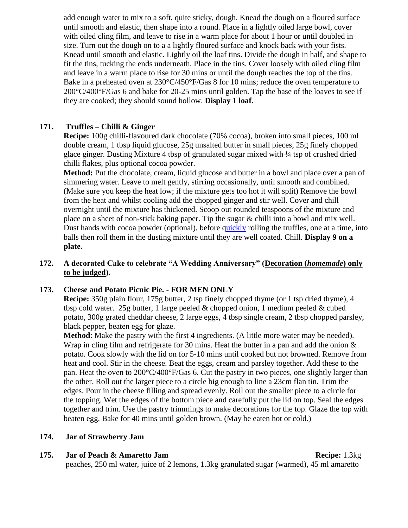add enough water to mix to a soft, quite sticky, dough. Knead the dough on a floured surface until smooth and elastic, then shape into a round. Place in a lightly oiled large bowl, cover with oiled cling film, and leave to rise in a warm place for about 1 hour or until doubled in size. Turn out the dough on to a a lightly floured surface and knock back with your fists. Knead until smooth and elastic. Lightly oil the loaf tins. Divide the dough in half, and shape to fit the tins, tucking the ends underneath. Place in the tins. Cover loosely with oiled cling film and leave in a warm place to rise for 30 mins or until the dough reaches the top of the tins. Bake in a preheated oven at  $230^{\circ}C/450^{\circ}F/G$  as 8 for 10 mins; reduce the oven temperature to  $200^{\circ}$ C/400°F/Gas 6 and bake for 20-25 mins until golden. Tap the base of the loaves to see if they are cooked; they should sound hollow. **Display 1 loaf.**

## **171. Truffles – Chilli & Ginger**

**Recipe:** 100g chilli-flavoured dark chocolate (70% cocoa), broken into small pieces, 100 ml double cream, 1 tbsp liquid glucose, 25g unsalted butter in small pieces, 25g finely chopped glace ginger. Dusting Mixture 4 tbsp of granulated sugar mixed with ¼ tsp of crushed dried chilli flakes, plus optional cocoa powder.

**Method:** Put the chocolate, cream, liquid glucose and butter in a bowl and place over a pan of simmering water. Leave to melt gently, stirring occasionally, until smooth and combined. (Make sure you keep the heat low; if the mixture gets too hot it will split) Remove the bowl from the heat and whilst cooling add the chopped ginger and stir well. Cover and chill overnight until the mixture has thickened. Scoop out rounded teaspoons of the mixture and place on a sheet of non-stick baking paper. Tip the sugar  $\&$  chilli into a bowl and mix well. Dust hands with cocoa powder (optional), before [quickly](/quickly) rolling the truffles, one at a time, into balls then roll them in the dusting mixture until they are well coated. Chill. **Display 9 on a plate.**

#### **172. A decorated Cake to celebrate "A Wedding Anniversary" (Decoration (***homemade***) only to be judged).**

## **173. Cheese and Potato Picnic Pie. - FOR MEN ONLY**

**Recipe:** 350g plain flour, 175g butter, 2 tsp finely chopped thyme (or 1 tsp dried thyme), 4 tbsp cold water. 25g butter, 1 large peeled  $\&$  chopped onion, 1 medium peeled  $\&$  cubed potato, 300g grated cheddar cheese, 2 large eggs, 4 tbsp single cream, 2 tbsp chopped parsley, black pepper, beaten egg for glaze.

**Method**: Make the pastry with the first 4 ingredients. (A little more water may be needed). Wrap in cling film and refrigerate for 30 mins. Heat the butter in a pan and add the onion  $\&$ potato. Cook slowly with the lid on for 5-10 mins until cooked but not browned. Remove from heat and cool. Stir in the cheese. Beat the eggs, cream and parsley together. Add these to the pan. Heat the oven to 200°C/400°F/Gas 6. Cut the pastry in two pieces, one slightly larger than the other. Roll out the larger piece to a circle big enough to line a 23cm flan tin. Trim the edges. Pour in the cheese filling and spread evenly. Roll out the smaller piece to a circle for the topping. Wet the edges of the bottom piece and carefully put the lid on top. Seal the edges together and trim. Use the pastry trimmings to make decorations for the top. Glaze the top with beaten egg. Bake for 40 mins until golden brown. (May be eaten hot or cold.)

#### **174. Jar of Strawberry Jam**

**175. Jar of Peach & Amaretto Jam Recipe: 1.3kg** peaches, 250 ml water, juice of 2 lemons, 1.3kg granulated sugar (warmed), 45 ml amaretto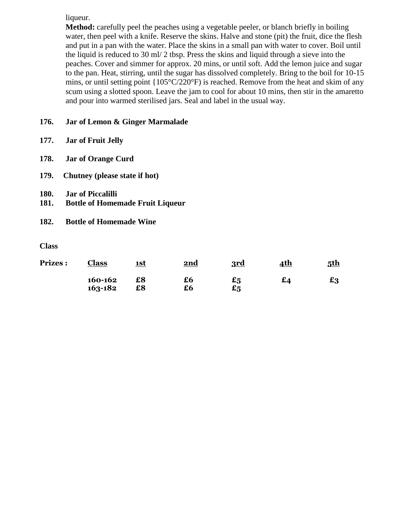liqueur.

**Method:** carefully peel the peaches using a vegetable peeler, or blanch briefly in boiling water, then peel with a knife. Reserve the skins. Halve and stone (pit) the fruit, dice the flesh and put in a pan with the water. Place the skins in a small pan with water to cover. Boil until the liquid is reduced to 30 ml/ 2 tbsp. Press the skins and liquid through a sieve into the peaches. Cover and simmer for approx. 20 mins, or until soft. Add the lemon juice and sugar to the pan. Heat, stirring, until the sugar has dissolved completely. Bring to the boil for 10-15 mins, or until setting point {105°C/220°F) is reached. Remove from the heat and skim of any scum using a slotted spoon. Leave the jam to cool for about 10 mins, then stir in the amaretto and pour into warmed sterilised jars. Seal and label in the usual way.

## **176. Jar of Lemon & Ginger Marmalade**

- **177. Jar of Fruit Jelly**
- **178. Jar of Orange Curd**
- **179. Chutney (please state if hot)**
- **180. Jar of Piccalilli**
- **181. Bottle of Homemade Fruit Liqueur**
- **182. Bottle of Homemade Wine**

**Class** 

| <b>Prizes:</b> | Class              | <u>1st</u> | <u>2nd</u> | <u>3rd</u>                                                 | <u>4th</u> | <u>5th</u> |
|----------------|--------------------|------------|------------|------------------------------------------------------------|------------|------------|
|                | 160-162<br>163-182 | £8<br>£8   | £6<br>£6   | $\boldsymbol{\mathfrak{s}}$<br>$\boldsymbol{\mathsf{e}}_5$ | £⊿         | £3         |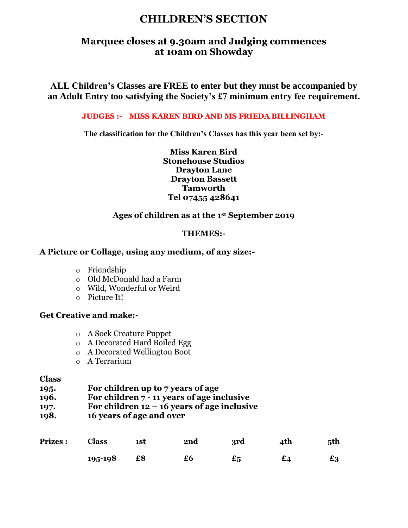# **CHILDREN'S SECTION**

## **Marquee closes at 9.30am and Judging commences at 10am on Showday**

**ALL Children's Classes are FREE to enter but they must be accompanied by an Adult Entry too satisfying the Society's £7 minimum entry fee requirement.** 

#### **JUDGES :- MISS KAREN BIRD AND MS FRIEDA BILLINGHAM**

**The classification for the Children's Classes has this year been set by:-**

**Miss Karen Bird Stonehouse Studios Drayton Lane Drayton Bassett Tamworth Tel 07455 428641**

## **Ages of children as at the 1st September 2019**

## **THEMES:-**

#### **A Picture or Collage, using any medium, of any size:-**

- o Friendship
- o Old McDonald had a Farm
- o Wild, Wonderful or Weird
- o Picture It!

## **Get Creative and make:-**

- o A Sock Creature Puppet
- o A Decorated Hard Boiled Egg
- o A Decorated Wellington Boot
- o A Terrarium

#### **Class**

- **195. For children up to 7 years of age**
- **196. For children 7 - 11 years of age inclusive**
- **197. For children 12 – 16 years of age inclusive**
- **198. 16 years of age and over**

| <b>Prizes:</b> | <b>Class</b> | <u>1st</u> | 2nd | <u>3rd</u> | <u>4th</u> | <u>5th</u> |
|----------------|--------------|------------|-----|------------|------------|------------|
|                | 195-198      | £8         | £6  |            |            | £3         |